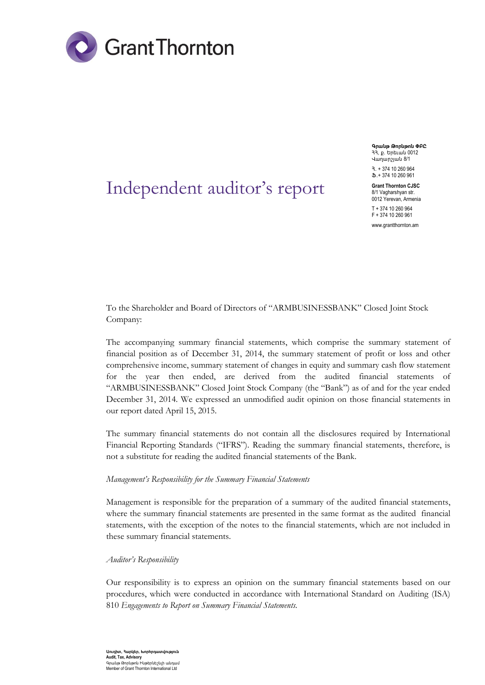

# Independent auditor's report

**4 nulp Goplianu OPC** 33, p. bpb.wu 0012 **Hunun**2jwu 8/1

Ð. + 374 10 260 964 ü.+ 374 10 260 961

**Grant Thornton CJSC** 8/1 Vagharshyan str. 0012 Yerevan, Armenia

T + 374 10 260 964 F + 374 10 260 961

www.grantthornton.am

To the Shareholder and Board of Directors of "ARMBUSINESSBANK" Closed Joint Stock Company:

The accompanying summary financial statements, which comprise the summary statement of financial position as of December 31, 2014, the summary statement of profit or loss and other comprehensive income, summary statement of changes in equity and summary cash flow statement for the year then ended, are derived from the audited financial statements of "ARMBUSINESSBANK" Closed Joint Stock Company (the "Bank") as of and for the year ended December 31, 2014. We expressed an unmodified audit opinion on those financial statements in our report dated April 15, 2015.

The summary financial statements do not contain all the disclosures required by International Financial Reporting Standards ("IFRS"). Reading the summary financial statements, therefore, is not a substitute for reading the audited financial statements of the Bank.

#### *Management's Responsibility for the Summary Financial Statements*

Management is responsible for the preparation of a summary of the audited financial statements, where the summary financial statements are presented in the same format as the audited financial statements, with the exception of the notes to the financial statements, which are not included in these summary financial statements.

#### *Auditor's Responsibility*

Our responsibility is to express an opinion on the summary financial statements based on our procedures, which were conducted in accordance with International Standard on Auditing (ISA) 810 *Engagements to Report on Summary Financial Statements.*